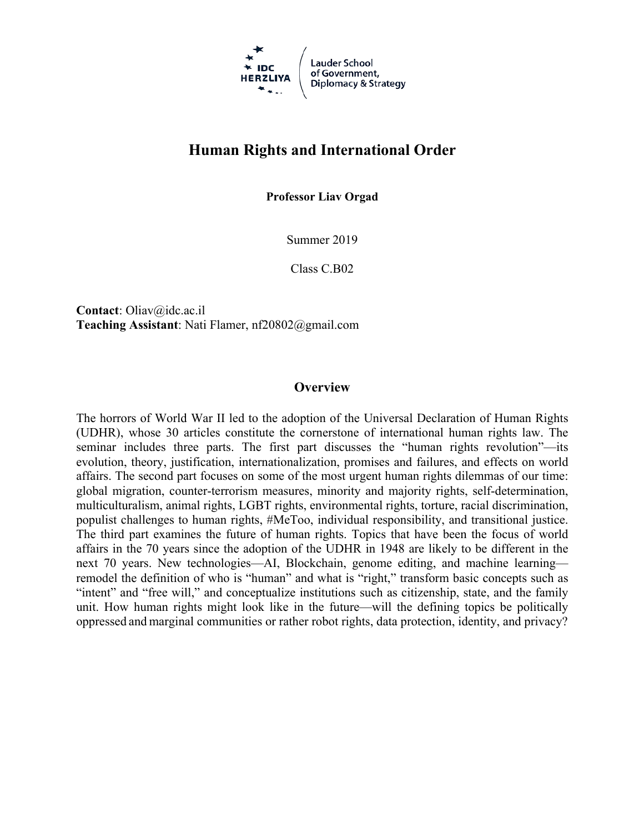

# **Human Rights and International Order**

**Professor Liav Orgad**

Summer 2019

Class C.B02

**Contact**: Oliav@idc.ac.il **Teaching Assistant**: Nati Flamer, nf20802@gmail.com

#### **Overview**

The horrors of World War II led to the adoption of the Universal Declaration of Human Rights (UDHR), whose 30 articles constitute the cornerstone of international human rights law. The seminar includes three parts. The first part discusses the "human rights revolution"—its evolution, theory, justification, internationalization, promises and failures, and effects on world affairs. The second part focuses on some of the most urgent human rights dilemmas of our time: global migration, counter-terrorism measures, minority and majority rights, self-determination, multiculturalism, animal rights, LGBT rights, environmental rights, torture, racial discrimination, populist challenges to human rights, #MeToo, individual responsibility, and transitional justice. The third part examines the future of human rights. Topics that have been the focus of world affairs in the 70 years since the adoption of the UDHR in 1948 are likely to be different in the next 70 years. New technologies—AI, Blockchain, genome editing, and machine learning remodel the definition of who is "human" and what is "right," transform basic concepts such as "intent" and "free will," and conceptualize institutions such as citizenship, state, and the family unit. How human rights might look like in the future—will the defining topics be politically oppressed and marginal communities or rather robot rights, data protection, identity, and privacy?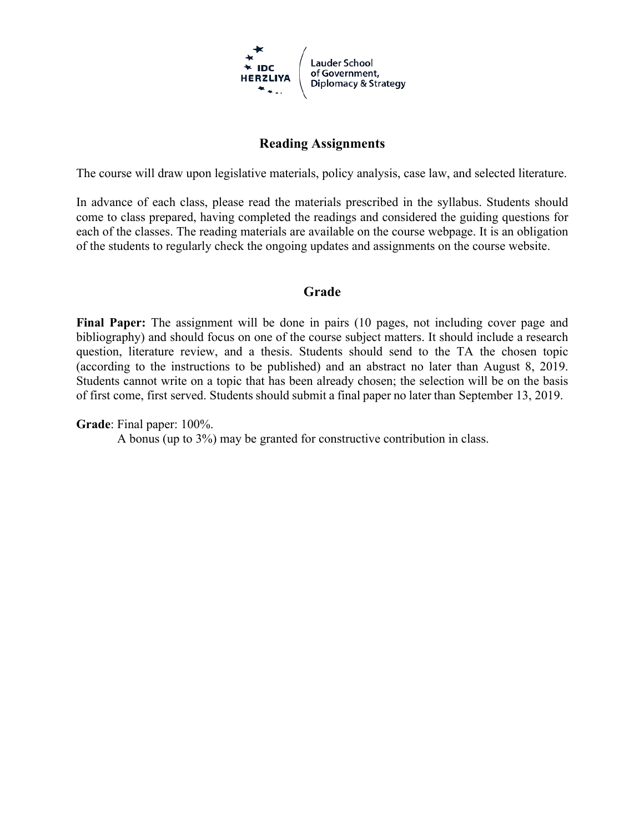

## **Reading Assignments**

The course will draw upon legislative materials, policy analysis, case law, and selected literature.

In advance of each class, please read the materials prescribed in the syllabus. Students should come to class prepared, having completed the readings and considered the guiding questions for each of the classes. The reading materials are available on the course webpage. It is an obligation of the students to regularly check the ongoing updates and assignments on the course website.

#### **Grade**

**Final Paper:** The assignment will be done in pairs (10 pages, not including cover page and bibliography) and should focus on one of the course subject matters. It should include a research question, literature review, and a thesis. Students should send to the TA the chosen topic (according to the instructions to be published) and an abstract no later than August 8, 2019. Students cannot write on a topic that has been already chosen; the selection will be on the basis of first come, first served. Students should submit a final paper no later than September 13, 2019.

#### **Grade**: Final paper: 100%.

A bonus (up to 3%) may be granted for constructive contribution in class.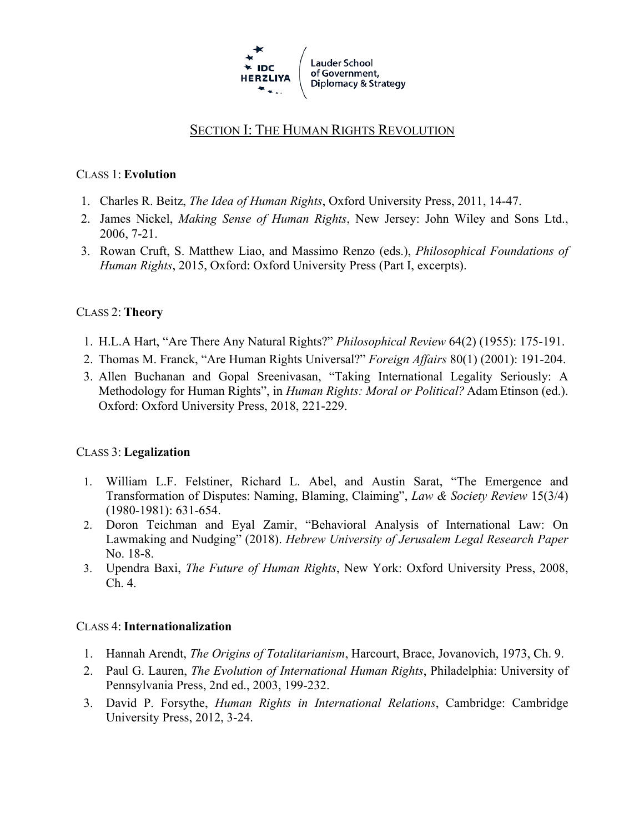

# SECTION I: THE HUMAN RIGHTS REVOLUTION

#### CLASS 1: **Evolution**

- 1. Charles R. Beitz, *The Idea of Human Rights*, Oxford University Press, 2011, 14-47.
- 2. James Nickel, *Making Sense of Human Rights*, New Jersey: John Wiley and Sons Ltd., 2006, 7-21.
- 3. Rowan Cruft, S. Matthew Liao, and Massimo Renzo (eds.), *Philosophical Foundations of Human Rights*, 2015, Oxford: Oxford University Press (Part I, excerpts).

## CLASS 2: **Theory**

- 1. H.L.A Hart, "Are There Any Natural Rights?" *Philosophical Review* 64(2) (1955): 175-191.
- 2. Thomas M. Franck, "Are Human Rights Universal?" *Foreign Affairs* 80(1) (2001): 191-204.
- 3. Allen Buchanan and Gopal Sreenivasan, "Taking International Legality Seriously: A Methodology for Human Rights", in *Human Rights: Moral or Political?* Adam Etinson (ed.). Oxford: Oxford University Press, 2018, 221-229.

#### CLASS 3: **Legalization**

- 1. William L.F. Felstiner, Richard L. Abel, and Austin Sarat, "The Emergence and Transformation of Disputes: Naming, Blaming, Claiming", *Law & Society Review* 15(3/4) (1980-1981): 631-654.
- 2. Doron Teichman and Eyal Zamir, "Behavioral Analysis of International Law: On Lawmaking and Nudging" (2018). *Hebrew University of Jerusalem Legal Research Paper* No. 18-8.
- 3. Upendra Baxi, *The Future of Human Rights*, New York: Oxford University Press, 2008, Ch. 4.

#### CLASS 4: **Internationalization**

- 1. Hannah Arendt, *The Origins of Totalitarianism*, Harcourt, Brace, Jovanovich, 1973, Ch. 9.
- 2. Paul G. Lauren, *The Evolution of International Human Rights*, Philadelphia: University of Pennsylvania Press, 2nd ed., 2003, 199-232.
- 3. David P. Forsythe, *Human Rights in International Relations*, Cambridge: Cambridge University Press, 2012, 3-24.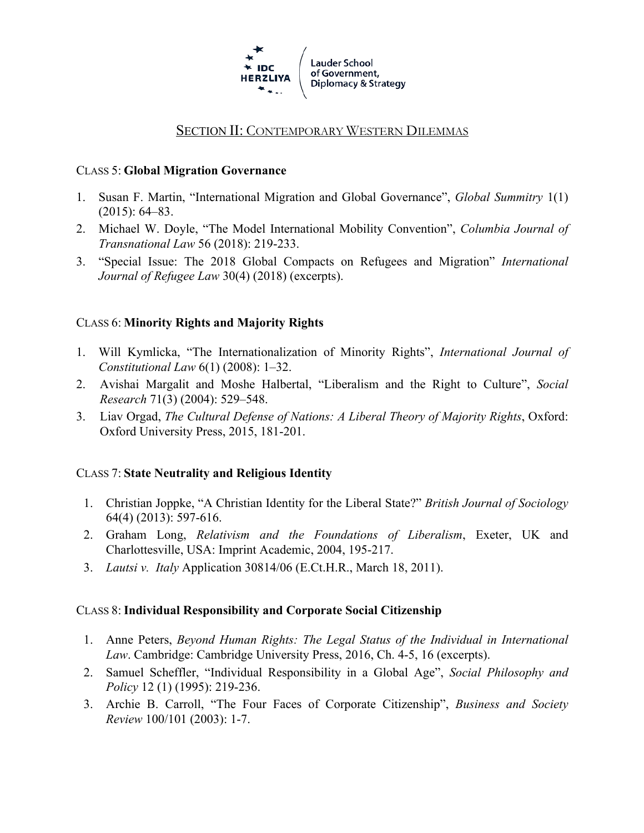

# SECTION II: CONTEMPORARY WESTERN DILEMMAS

#### CLASS 5: **Global Migration Governance**

- 1. Susan F. Martin, "International Migration and Global Governance", *Global Summitry* 1(1) (2015): 64–83.
- 2. Michael W. Doyle, "The Model International Mobility Convention", *Columbia Journal of Transnational Law* 56 (2018): 219-233.
- 3. "Special Issue: The 2018 Global Compacts on Refugees and Migration" *International Journal of Refugee Law* 30(4) (2018) (excerpts).

#### CLASS 6: **Minority Rights and Majority Rights**

- 1. Will Kymlicka, "The Internationalization of Minority Rights", *International Journal of Constitutional Law* 6(1) (2008): 1–32.
- 2. Avishai Margalit and Moshe Halbertal, "Liberalism and the Right to Culture", *Social Research* 71(3) (2004): 529–548.
- 3. Liav Orgad, *The Cultural Defense of Nations: A Liberal Theory of Majority Rights*, Oxford: Oxford University Press, 2015, 181-201.

#### CLASS 7: **State Neutrality and Religious Identity**

- 1. Christian Joppke, "A Christian Identity for the Liberal State?" *British Journal of Sociology*  64(4) (2013): 597-616.
- 2. Graham Long, *Relativism and the Foundations of Liberalism*, Exeter, UK and Charlottesville, USA: Imprint Academic, 2004, 195-217.
- 3. *Lautsi v. Italy* Application 30814/06 (E.Ct.H.R., March 18, 2011).

#### CLASS 8: **Individual Responsibility and Corporate Social Citizenship**

- 1. Anne Peters, *Beyond Human Rights: The Legal Status of the Individual in International Law*. Cambridge: Cambridge University Press, 2016, Ch. 4-5, 16 (excerpts).
- 2. Samuel Scheffler, "Individual Responsibility in a Global Age", *Social Philosophy and Policy* 12 (1) (1995): 219-236.
- 3. Archie B. Carroll, "The Four Faces of Corporate Citizenship", *Business and Society Review* 100/101 (2003): 1-7.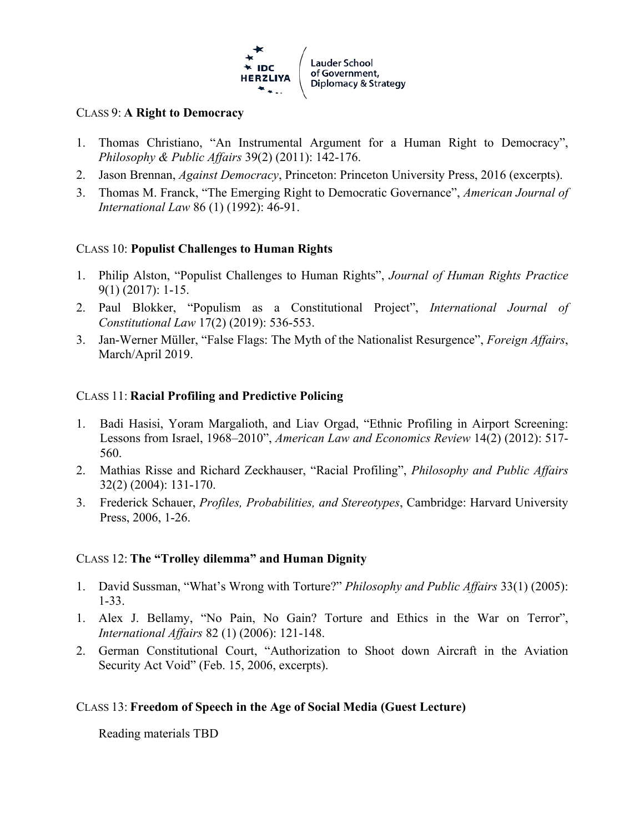

#### CLASS 9: **A Right to Democracy**

- 1. Thomas Christiano, "An Instrumental Argument for a Human Right to Democracy", *Philosophy & Public Affairs* 39(2) (2011): 142-176.
- 2. Jason Brennan, *Against Democracy*, Princeton: Princeton University Press, 2016 (excerpts).
- 3. Thomas M. Franck, "The Emerging Right to Democratic Governance", *American Journal of International Law* 86 (1) (1992): 46-91.

## CLASS 10: **Populist Challenges to Human Rights**

- 1. Philip Alston, "Populist Challenges to Human Rights", *Journal of Human Rights Practice* 9(1) (2017): 1-15.
- 2. Paul Blokker, "Populism as a Constitutional Project", *International Journal of Constitutional Law* 17(2) (2019): 536-553.
- 3. Jan-Werner Müller, "False Flags: The Myth of the Nationalist Resurgence", *Foreign Affairs*, March/April 2019.

## CLASS 11: **Racial Profiling and Predictive Policing**

- 1. Badi Hasisi, Yoram Margalioth, and Liav Orgad, "Ethnic Profiling in Airport Screening: Lessons from Israel, 1968–2010", *American Law and Economics Review* 14(2) (2012): 517- 560.
- 2. Mathias Risse and Richard Zeckhauser, "Racial Profiling", *Philosophy and Public Affairs* 32(2) (2004): 131-170.
- 3. Frederick Schauer, *Profiles, Probabilities, and Stereotypes*, Cambridge: Harvard University Press, 2006, 1-26.

## CLASS 12: **The "Trolley dilemma" and Human Dignity**

- 1. David Sussman, "What's Wrong with Torture?" *Philosophy and Public Affairs* 33(1) (2005): 1-33.
- 1. Alex J. Bellamy, "No Pain, No Gain? Torture and Ethics in the War on Terror", *International Affairs* 82 (1) (2006): 121-148.
- 2. German Constitutional Court, "Authorization to Shoot down Aircraft in the Aviation Security Act Void" (Feb. 15, 2006, excerpts).

## CLASS 13: **Freedom of Speech in the Age of Social Media (Guest Lecture)**

Reading materials TBD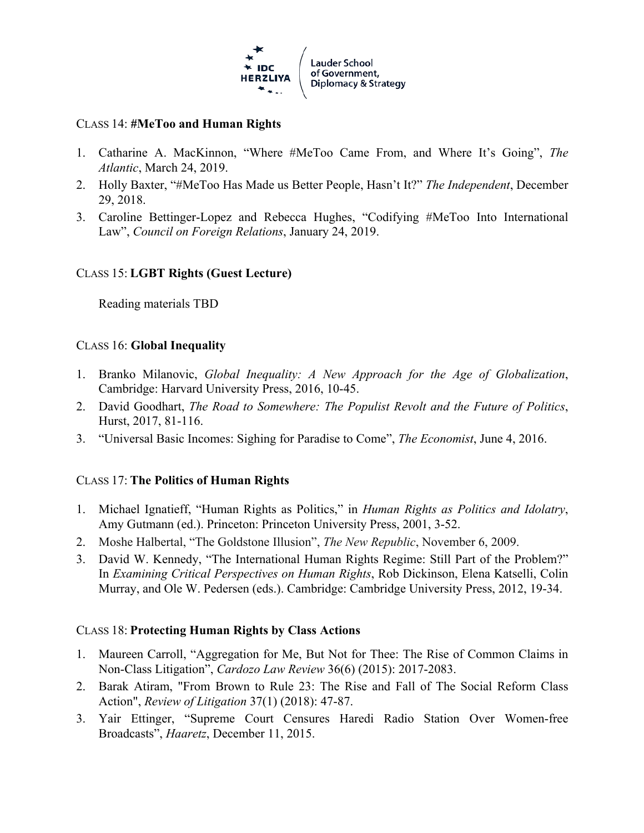

#### CLASS 14: **#MeToo and Human Rights**

- 1. Catharine A. MacKinnon, "Where #MeToo Came From, and Where It's Going", *The Atlantic*, March 24, 2019.
- 2. Holly Baxter, "#MeToo Has Made us Better People, Hasn't It?" *The Independent*, December 29, 2018.
- 3. Caroline Bettinger-Lopez and Rebecca Hughes, "Codifying #MeToo Into International Law", *Council on Foreign Relations*, January 24, 2019.

## CLASS 15: **LGBT Rights (Guest Lecture)**

Reading materials TBD

#### CLASS 16: **Global Inequality**

- 1. Branko Milanovic, *Global Inequality: A New Approach for the Age of Globalization*, Cambridge: Harvard University Press, 2016, 10-45.
- 2. David Goodhart, *The Road to Somewhere: The Populist Revolt and the Future of Politics*, Hurst, 2017, 81-116.
- 3. "Universal Basic Incomes: Sighing for Paradise to Come", *The Economist*, June 4, 2016.

## CLASS 17: **The Politics of Human Rights**

- 1. Michael Ignatieff, "Human Rights as Politics," in *Human Rights as Politics and Idolatry*, Amy Gutmann (ed.). Princeton: Princeton University Press, 2001, 3-52.
- 2. Moshe Halbertal, "The Goldstone Illusion", *The New Republic*, November 6, 2009.
- 3. David W. Kennedy, "The International Human Rights Regime: Still Part of the Problem?" In *Examining Critical Perspectives on Human Rights*, Rob Dickinson, Elena Katselli, Colin Murray, and Ole W. Pedersen (eds.). Cambridge: Cambridge University Press, 2012, 19-34.

## CLASS 18: **Protecting Human Rights by Class Actions**

- 1. Maureen Carroll, "Aggregation for Me, But Not for Thee: The Rise of Common Claims in Non-Class Litigation", *Cardozo Law Review* 36(6) (2015): 2017-2083.
- 2. Barak Atiram, "From Brown to Rule 23: The Rise and Fall of The Social Reform Class Action", *Review of Litigation* 37(1) (2018): 47-87.
- 3. Yair Ettinger, "Supreme Court Censures Haredi Radio Station Over Women-free Broadcasts", *Haaretz*, December 11, 2015.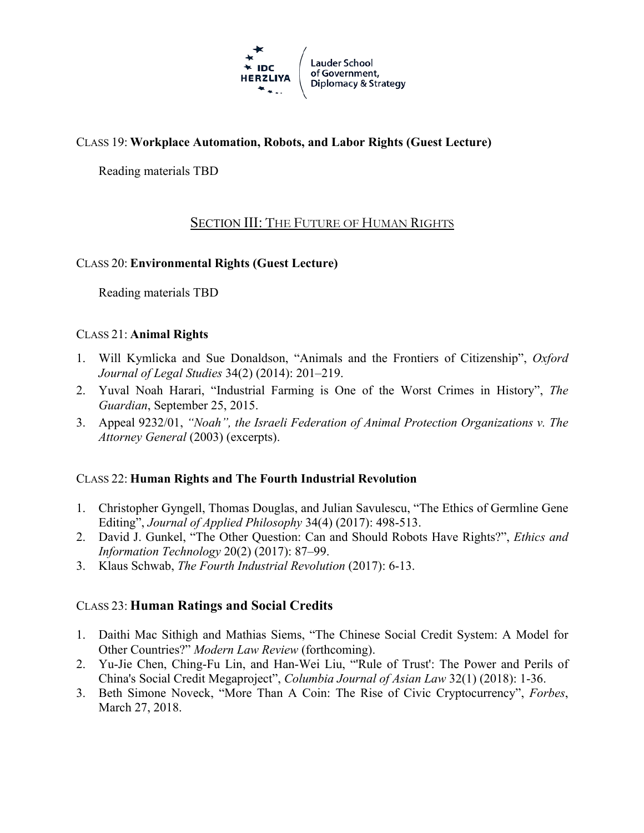

# CLASS 19: **Workplace Automation, Robots, and Labor Rights (Guest Lecture)**

Reading materials TBD

# SECTION III: THE FUTURE OF HUMAN RIGHTS

## CLASS 20: **Environmental Rights (Guest Lecture)**

Reading materials TBD

#### CLASS 21: **Animal Rights**

- 1. Will Kymlicka and Sue Donaldson, "Animals and the Frontiers of Citizenship", *Oxford Journal of Legal Studies* 34(2) (2014): 201–219.
- 2. Yuval Noah Harari, "Industrial Farming is One of the Worst Crimes in History", *The Guardian*, September 25, 2015.
- 3. Appeal 9232/01, *"Noah", the Israeli Federation of Animal Protection Organizations v. The Attorney General* (2003) (excerpts).

## CLASS 22: **Human Rights and The Fourth Industrial Revolution**

- 1. Christopher Gyngell, Thomas Douglas, and Julian Savulescu, "The Ethics of Germline Gene Editing", *Journal of Applied Philosophy* 34(4) (2017): 498-513.
- 2. David J. Gunkel, "The Other Question: Can and Should Robots Have Rights?", *Ethics and Information Technology* 20(2) (2017): 87–99.
- 3. Klaus Schwab, *The Fourth Industrial Revolution* (2017): 6-13.

## CLASS 23: **Human Ratings and Social Credits**

- 1. Daithi Mac Sithigh and Mathias Siems, "The Chinese Social Credit System: A Model for Other Countries?" *Modern Law Review* (forthcoming).
- 2. Yu-Jie Chen, Ching-Fu Lin, and Han-Wei Liu, "'Rule of Trust': The Power and Perils of China's Social Credit Megaproject", *Columbia Journal of Asian Law* 32(1) (2018): 1-36.
- 3. Beth Simone Noveck, "More Than A Coin: The Rise of Civic Cryptocurrency", *Forbes*, March 27, 2018.